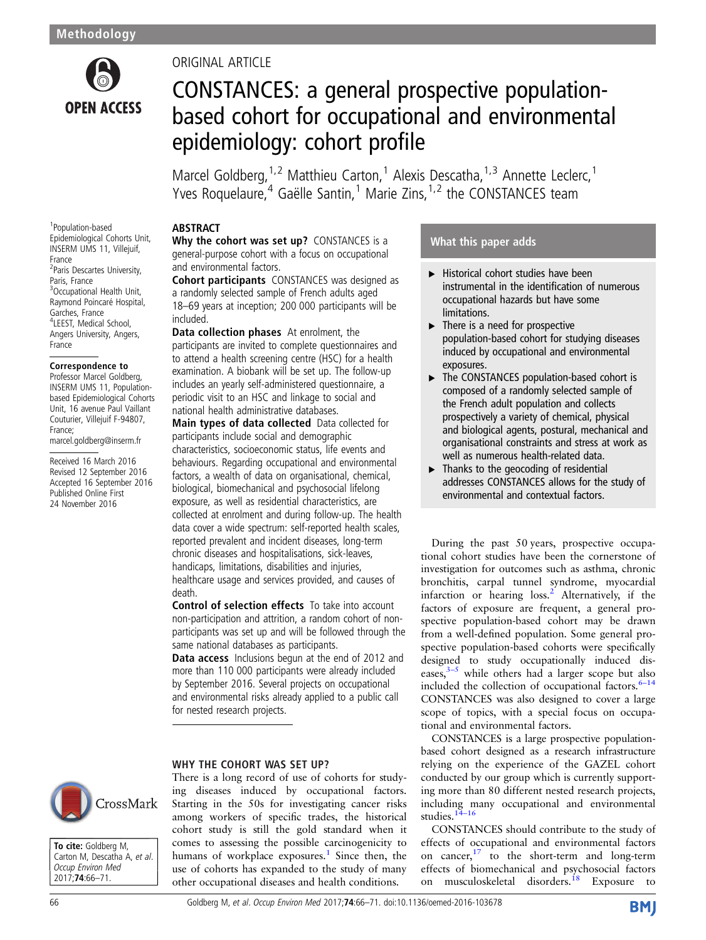

1 Population-based Epidemiological Cohorts Unit, INSERM UMS 11, Villejuif,

<sup>2</sup> Paris Descartes University,

<sup>3</sup> Occupational Health Unit, Raymond Poincaré Hospital, Garches, France 4 LEEST, Medical School, Angers University, Angers,

Correspondence to Professor Marcel Goldberg, INSERM UMS 11, Populationbased Epidemiological Cohorts Unit, 16 avenue Paul Vaillant Couturier, Villejuif F-94807,

marcel.goldberg@inserm.fr Received 16 March 2016 Revised 12 September 2016 Accepted 16 September 2016 Published Online First 24 November 2016

France

France

France;

Paris, France

# ORIGINAL ARTICLE

# CONSTANCES: a general prospective populationbased cohort for occupational and environmental epidemiology: cohort profile

Marcel Goldberg,  $1.2$  Matthieu Carton, <sup>1</sup> Alexis Descatha,  $1.3$  Annette Leclerc, <sup>1</sup> Yves Roquelaure, $4 \text{ Gaëlle Santin}$ ,<sup>1</sup> Marie Zins, $1/2$  the CONSTANCES team

# ABSTRACT

Why the cohort was set up? CONSTANCES is a general-purpose cohort with a focus on occupational and environmental factors.

Cohort participants CONSTANCES was designed as a randomly selected sample of French adults aged 18–69 years at inception; 200 000 participants will be included.

Data collection phases At enrolment, the participants are invited to complete questionnaires and to attend a health screening centre (HSC) for a health examination. A biobank will be set up. The follow-up includes an yearly self-administered questionnaire, a periodic visit to an HSC and linkage to social and national health administrative databases.

Main types of data collected Data collected for participants include social and demographic characteristics, socioeconomic status, life events and behaviours. Regarding occupational and environmental factors, a wealth of data on organisational, chemical, biological, biomechanical and psychosocial lifelong exposure, as well as residential characteristics, are collected at enrolment and during follow-up. The health data cover a wide spectrum: self-reported health scales, reported prevalent and incident diseases, long-term chronic diseases and hospitalisations, sick-leaves, handicaps, limitations, disabilities and injuries, healthcare usage and services provided, and causes of death.

Control of selection effects To take into account non-participation and attrition, a random cohort of nonparticipants was set up and will be followed through the same national databases as participants.

**Data access** Inclusions begun at the end of 2012 and more than 110 000 participants were already included by September 2016. Several projects on occupational and environmental risks already applied to a public call for nested research projects.

# WHY THE COHORT WAS SET UP?



To cite: Goldberg M, Carton M, Descatha A, et al. Occup Environ Med 2017;74:66–71.

There is a long record of use of cohorts for study-

# What this paper adds

- ▸ Historical cohort studies have been instrumental in the identification of numerous occupational hazards but have some limitations.
- $\blacktriangleright$  There is a need for prospective population-based cohort for studying diseases induced by occupational and environmental exposures.
- ▸ The CONSTANCES population-based cohort is composed of a randomly selected sample of the French adult population and collects prospectively a variety of chemical, physical and biological agents, postural, mechanical and organisational constraints and stress at work as well as numerous health-related data.
- $\blacktriangleright$  Thanks to the geocoding of residential addresses CONSTANCES allows for the study of environmental and contextual factors.

During the past 50 years, prospective occupational cohort studies have been the cornerstone of investigation for outcomes such as asthma, chronic bronchitis, carpal tunnel syndrome, myocardial infarction or hearing loss.<sup>[2](#page-5-0)</sup> Alternatively, if the factors of exposure are frequent, a general prospective population-based cohort may be drawn from a well-defined population. Some general prospective population-based cohorts were specifically designed to study occupationally induced diseases, $3-5$  $3-5$  while others had a larger scope but also included the collection of occupational factors. $6-14$  $6-14$ CONSTANCES was also designed to cover a large scope of topics, with a special focus on occupational and environmental factors.

CONSTANCES is a large prospective populationbased cohort designed as a research infrastructure relying on the experience of the GAZEL cohort conducted by our group which is currently supporting more than 80 different nested research projects, including many occupational and environmental studies.<sup>[14](#page-5-0)-16</sup>

CONSTANCES should contribute to the study of effects of occupational and environmental factors on cancer,  $17$  to the short-term and long-term effects of biomechanical and psychosocial factors on musculoskeletal disorders.<sup>18</sup> Exposure to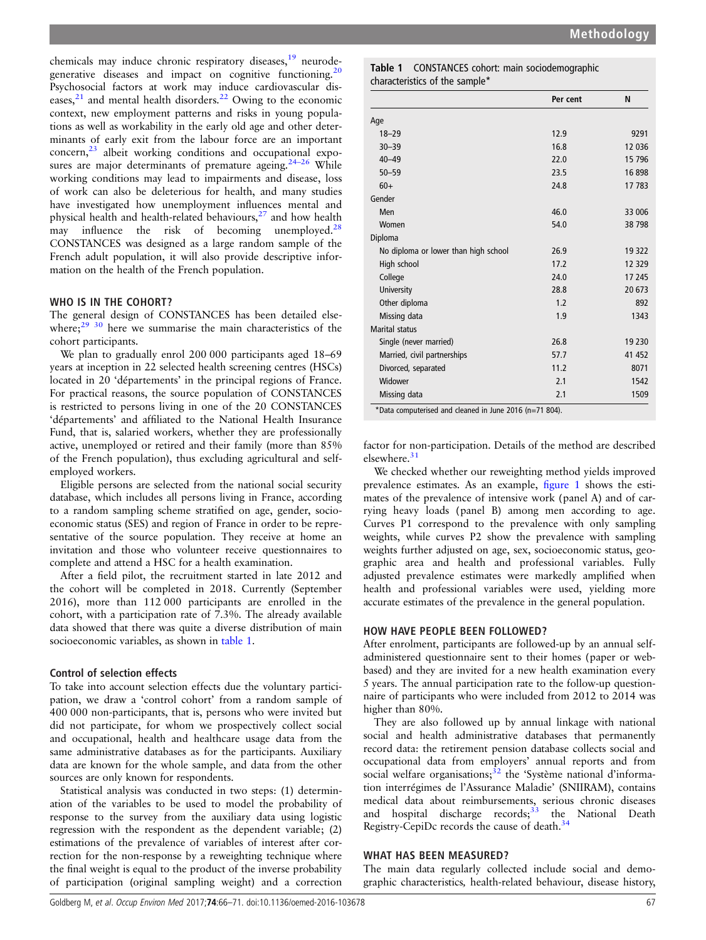chemicals may induce chronic respiratory diseases,<sup>[19](#page-5-0)</sup> neurodegenerative diseases and impact on cognitive functioning.<sup>20</sup> Psychosocial factors at work may induce cardiovascular diseases, $21$  and mental health disorders.<sup>22</sup> Owing to the economic context, new employment patterns and risks in young populations as well as workability in the early old age and other determinants of early exit from the labour force are an important concern,<sup>[23](#page-5-0)</sup> albeit working conditions and occupational exposures are major determinants of premature ageing.<sup>24–26</sup> While working conditions may lead to impairments and disease, loss of work can also be deleterious for health, and many studies have investigated how unemployment influences mental and physical health and health-related behaviours, $27$  and how health may influence the risk of becoming unemployed.<sup>28</sup> CONSTANCES was designed as a large random sample of the French adult population, it will also provide descriptive information on the health of the French population.

#### WHO IS IN THE COHORT?

The general design of CONSTANCES has been detailed else-where;<sup>[29 30](#page-5-0)</sup> here we summarise the main characteristics of the cohort participants.

We plan to gradually enrol 200 000 participants aged 18–69 years at inception in 22 selected health screening centres (HSCs) located in 20 'départements' in the principal regions of France. For practical reasons, the source population of CONSTANCES is restricted to persons living in one of the 20 CONSTANCES 'départements' and affiliated to the National Health Insurance Fund, that is, salaried workers, whether they are professionally active, unemployed or retired and their family (more than 85% of the French population), thus excluding agricultural and selfemployed workers.

Eligible persons are selected from the national social security database, which includes all persons living in France, according to a random sampling scheme stratified on age, gender, socioeconomic status (SES) and region of France in order to be representative of the source population. They receive at home an invitation and those who volunteer receive questionnaires to complete and attend a HSC for a health examination.

After a field pilot, the recruitment started in late 2012 and the cohort will be completed in 2018. Currently (September 2016), more than 112 000 participants are enrolled in the cohort, with a participation rate of 7.3%. The already available data showed that there was quite a diverse distribution of main socioeconomic variables, as shown in table 1.

#### Control of selection effects

To take into account selection effects due the voluntary participation, we draw a 'control cohort' from a random sample of 400 000 non-participants, that is, persons who were invited but did not participate, for whom we prospectively collect social and occupational, health and healthcare usage data from the same administrative databases as for the participants. Auxiliary data are known for the whole sample, and data from the other sources are only known for respondents.

Statistical analysis was conducted in two steps: (1) determination of the variables to be used to model the probability of response to the survey from the auxiliary data using logistic regression with the respondent as the dependent variable; (2) estimations of the prevalence of variables of interest after correction for the non-response by a reweighting technique where the final weight is equal to the product of the inverse probability of participation (original sampling weight) and a correction

| <b>Table 1</b> CONSTANCES cohort: main sociodemographic |
|---------------------------------------------------------|
| characteristics of the sample*                          |

|                                      | Per cent | N       |
|--------------------------------------|----------|---------|
| Age                                  |          |         |
| $18 - 29$                            | 12.9     | 9291    |
| $30 - 39$                            | 16.8     | 12 0 36 |
| $40 - 49$                            | 22.0     | 15 7 96 |
| $50 - 59$                            | 23.5     | 16898   |
| $60+$                                | 24.8     | 17 783  |
| Gender                               |          |         |
| Men                                  | 46.0     | 33 006  |
| Women                                | 54.0     | 38 798  |
| Diploma                              |          |         |
| No diploma or lower than high school | 26.9     | 19 3 22 |
| High school                          | 17.2     | 12 329  |
| College                              | 24.0     | 17 245  |
| <b>University</b>                    | 28.8     | 20 673  |
| Other diploma                        | 1.2      | 892     |
| Missing data                         | 1.9      | 1343    |
| <b>Marital status</b>                |          |         |
| Single (never married)               | 26.8     | 19 2 30 |
| Married, civil partnerships          | 57.7     | 41 452  |
| Divorced, separated                  | 11.2     | 8071    |
| Widower                              | 2.1      | 1542    |
| Missing data                         | 2.1      | 1509    |

\*Data computerised and cleaned in June 2016 (n=71 804).

factor for non-participation. Details of the method are described elsewhere.<sup>31</sup>

We checked whether our reweighting method yields improved prevalence estimates. As an example, fi[gure 1](#page-2-0) shows the estimates of the prevalence of intensive work (panel A) and of carrying heavy loads (panel B) among men according to age. Curves P1 correspond to the prevalence with only sampling weights, while curves P2 show the prevalence with sampling weights further adjusted on age, sex, socioeconomic status, geographic area and health and professional variables. Fully adjusted prevalence estimates were markedly amplified when health and professional variables were used, yielding more accurate estimates of the prevalence in the general population.

# HOW HAVE PEOPLE BEEN FOLLOWED?

After enrolment, participants are followed-up by an annual selfadministered questionnaire sent to their homes (paper or webbased) and they are invited for a new health examination every 5 years. The annual participation rate to the follow-up questionnaire of participants who were included from 2012 to 2014 was higher than 80%.

They are also followed up by annual linkage with national social and health administrative databases that permanently record data: the retirement pension database collects social and occupational data from employers' annual reports and from social welfare organisations;  $32$  the 'Système national d'information interrégimes de l'Assurance Maladie' (SNIIRAM), contains medical data about reimbursements, serious chronic diseases and hospital discharge  $records$ ;<sup>[33](#page-5-0)</sup> the National Death Registry-CepiDc records the cause of death.<sup>[34](#page-5-0)</sup>

#### WHAT HAS BEEN MEASURED?

The main data regularly collected include social and demographic characteristics, health-related behaviour, disease history,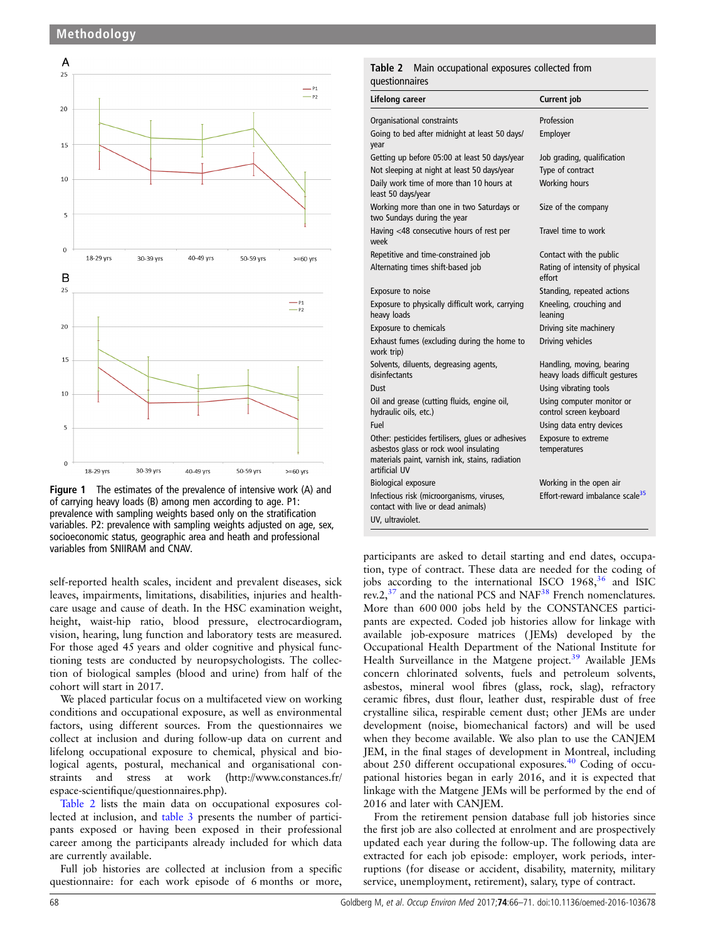<span id="page-2-0"></span>

Figure 1 The estimates of the prevalence of intensive work (A) and of carrying heavy loads (B) among men according to age. P1: prevalence with sampling weights based only on the stratification variables. P2: prevalence with sampling weights adjusted on age, sex, socioeconomic status, geographic area and heath and professional variables from SNIIRAM and CNAV.

self-reported health scales, incident and prevalent diseases, sick leaves, impairments, limitations, disabilities, injuries and healthcare usage and cause of death. In the HSC examination weight, height, waist-hip ratio, blood pressure, electrocardiogram, vision, hearing, lung function and laboratory tests are measured. For those aged 45 years and older cognitive and physical functioning tests are conducted by neuropsychologists. The collection of biological samples (blood and urine) from half of the cohort will start in 2017.

We placed particular focus on a multifaceted view on working conditions and occupational exposure, as well as environmental factors, using different sources. From the questionnaires we collect at inclusion and during follow-up data on current and lifelong occupational exposure to chemical, physical and biological agents, postural, mechanical and organisational constraints and stress at work ([http://www.constances.fr/](http://www.constances.fr/espace-scientifique/questionnaires.php) [espace-](http://www.constances.fr/espace-scientifique/questionnaires.php)scientifi[que/questionnaires.php](http://www.constances.fr/espace-scientifique/questionnaires.php)).

Table 2 lists the main data on occupational exposures collected at inclusion, and [table 3](#page-3-0) presents the number of participants exposed or having been exposed in their professional career among the participants already included for which data are currently available.

Full job histories are collected at inclusion from a specific questionnaire: for each work episode of 6 months or more,

# Table 2 Main occupational exposures collected from questionnaires

| questionnaires                                                                                                                                                  |                                                             |
|-----------------------------------------------------------------------------------------------------------------------------------------------------------------|-------------------------------------------------------------|
| Lifelong career                                                                                                                                                 | Current job                                                 |
| Organisational constraints                                                                                                                                      | Profession                                                  |
| Going to bed after midnight at least 50 days/<br>year                                                                                                           | Employer                                                    |
| Getting up before 05:00 at least 50 days/year                                                                                                                   | Job grading, qualification                                  |
| Not sleeping at night at least 50 days/year                                                                                                                     | Type of contract                                            |
| Daily work time of more than 10 hours at<br>least 50 days/year                                                                                                  | Working hours                                               |
| Working more than one in two Saturdays or<br>two Sundays during the year                                                                                        | Size of the company                                         |
| Having <48 consecutive hours of rest per<br>week                                                                                                                | Travel time to work                                         |
| Repetitive and time-constrained job                                                                                                                             | Contact with the public                                     |
| Alternating times shift-based job                                                                                                                               | Rating of intensity of physical<br>effort                   |
| Exposure to noise                                                                                                                                               | Standing, repeated actions                                  |
| Exposure to physically difficult work, carrying<br>heavy loads                                                                                                  | Kneeling, crouching and<br>leaning                          |
| <b>Exposure to chemicals</b>                                                                                                                                    | Driving site machinery                                      |
| Exhaust fumes (excluding during the home to<br>work trip)                                                                                                       | Driving vehicles                                            |
| Solvents, diluents, degreasing agents,<br>disinfectants                                                                                                         | Handling, moving, bearing<br>heavy loads difficult gestures |
| Dust                                                                                                                                                            | Using vibrating tools                                       |
| Oil and grease (cutting fluids, engine oil,<br>hydraulic oils, etc.)                                                                                            | Using computer monitor or<br>control screen keyboard        |
| Fuel                                                                                                                                                            | Using data entry devices                                    |
| Other: pesticides fertilisers, glues or adhesives<br>asbestos glass or rock wool insulating<br>materials paint, varnish ink, stains, radiation<br>artificial UV | Exposure to extreme<br>temperatures                         |
| <b>Biological exposure</b>                                                                                                                                      | Working in the open air                                     |
| Infectious risk (microorganisms, viruses,<br>contact with live or dead animals)                                                                                 | Effort-reward imbalance scale <sup>35</sup>                 |
| UV. ultraviolet.                                                                                                                                                |                                                             |

participants are asked to detail starting and end dates, occupation, type of contract. These data are needed for the coding of jobs according to the international ISCO  $1968<sup>36</sup>$  $1968<sup>36</sup>$  $1968<sup>36</sup>$  and ISIC rev.2,<sup>[37](#page-5-0)</sup> and the national PCS and NAF<sup>[38](#page-5-0)</sup> French nomenclatures. More than 600 000 jobs held by the CONSTANCES participants are expected. Coded job histories allow for linkage with available job-exposure matrices ( JEMs) developed by the Occupational Health Department of the National Institute for Health Surveillance in the Matgene project.<sup>[39](#page-5-0)</sup> Available JEMs concern chlorinated solvents, fuels and petroleum solvents, asbestos, mineral wool fibres (glass, rock, slag), refractory ceramic fibres, dust flour, leather dust, respirable dust of free crystalline silica, respirable cement dust; other JEMs are under development (noise, biomechanical factors) and will be used when they become available. We also plan to use the CANJEM JEM, in the final stages of development in Montreal, including about 250 different occupational exposures.[40](#page-5-0) Coding of occupational histories began in early 2016, and it is expected that linkage with the Matgene JEMs will be performed by the end of 2016 and later with CANJEM.

From the retirement pension database full job histories since the first job are also collected at enrolment and are prospectively updated each year during the follow-up. The following data are extracted for each job episode: employer, work periods, interruptions (for disease or accident, disability, maternity, military service, unemployment, retirement), salary, type of contract.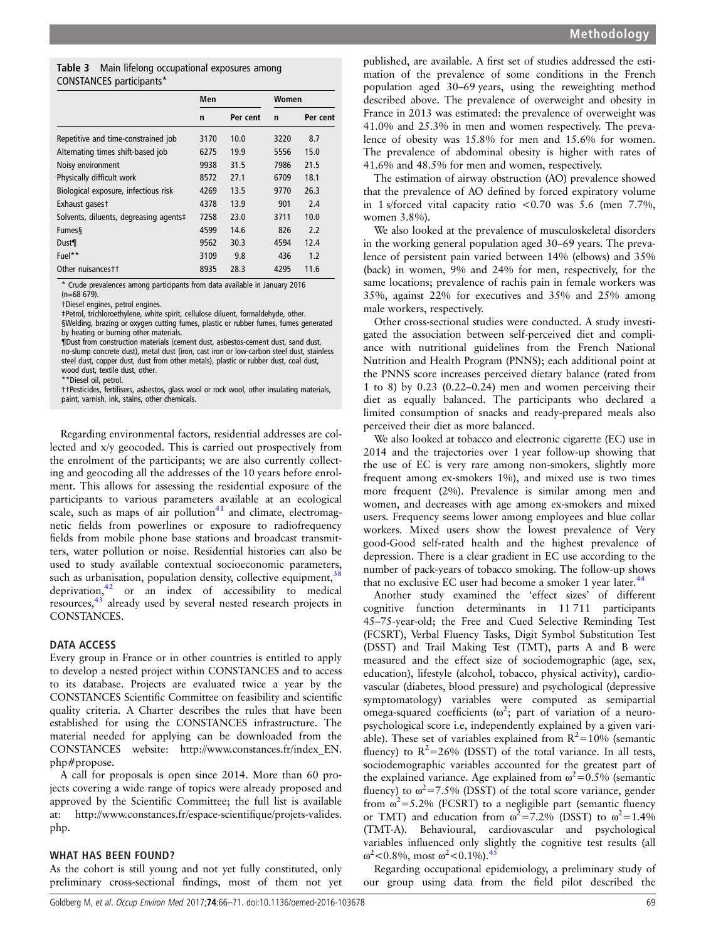<span id="page-3-0"></span>

| <b>Table 3</b> Main lifelong occupational exposures among |  |  |
|-----------------------------------------------------------|--|--|
| CONSTANCES participants*                                  |  |  |

|                                        | Men  |          | Women |          |
|----------------------------------------|------|----------|-------|----------|
|                                        | n    | Per cent | n     | Per cent |
| Repetitive and time-constrained job    | 3170 | 10.0     | 3220  | 8.7      |
| Alternating times shift-based job      | 6275 | 19.9     | 5556  | 15.0     |
| Noisy environment                      | 9938 | 31.5     | 7986  | 21.5     |
| Physically difficult work              | 8572 | 27.1     | 6709  | 18.1     |
| Biological exposure, infectious risk   | 4269 | 13.5     | 9770  | 26.3     |
| Exhaust gasest                         | 4378 | 13.9     | 901   | 2.4      |
| Solvents, diluents, degreasing agents‡ | 7258 | 23.0     | 3711  | 10.0     |
| Fumes§                                 | 4599 | 14.6     | 826   | 2.2      |
| Dust¶                                  | 9562 | 30.3     | 4594  | 12.4     |
| Fuel**                                 | 3109 | 9.8      | 436   | 1.2      |
| Other nuisancestt                      | 8935 | 28.3     | 4295  | 11.6     |

\* Crude prevalences among participants from data available in January 2016  $(n=68, 679)$ .

†Diesel engines, petrol engines.

‡Petrol, trichloroethylene, white spirit, cellulose diluent, formaldehyde, other. §Welding, brazing or oxygen cutting fumes, plastic or rubber fumes, fumes generated by heating or burning other materials.

¶Dust from construction materials (cement dust, asbestos-cement dust, sand dust, no-slump concrete dust), metal dust (iron, cast iron or low-carbon steel dust, stainless

steel dust, copper dust, dust from other metals), plastic or rubber dust, coal dust, wood dust, textile dust, other.

\*\*Diesel oil, petrol.

††Pesticides, fertilisers, asbestos, glass wool or rock wool, other insulating materials, paint, varnish, ink, stains, other chemicals.

Regarding environmental factors, residential addresses are collected and x/y geocoded. This is carried out prospectively from the enrolment of the participants; we are also currently collecting and geocoding all the addresses of the 10 years before enrolment. This allows for assessing the residential exposure of the participants to various parameters available at an ecological scale, such as maps of air pollution $41$  and climate, electromagnetic fields from powerlines or exposure to radiofrequency fields from mobile phone base stations and broadcast transmitters, water pollution or noise. Residential histories can also be used to study available contextual socioeconomic parameters, such as urbanisation, population density, collective equipment,<sup>3</sup> deprivation, $42$  or an index of accessibility to medical resources,[43](#page-5-0) already used by several nested research projects in CONSTANCES.

# DATA ACCESS

Every group in France or in other countries is entitled to apply to develop a nested project within CONSTANCES and to access to its database. Projects are evaluated twice a year by the CONSTANCES Scientific Committee on feasibility and scientific quality criteria. A Charter describes the rules that have been established for using the CONSTANCES infrastructure. The material needed for applying can be downloaded from the CONSTANCES website: [http://www.constances.fr/index\\_EN.](http://www.constances.fr/index_EN.php#propose) [php#propose](http://www.constances.fr/index_EN.php#propose).

A call for proposals is open since 2014. More than 60 projects covering a wide range of topics were already proposed and approved by the Scientific Committee; the full list is available at: [http://www.constances.fr/espace-scienti](http://www.constances.fr/espace-scientifique/projets-valides.php)fique/projets-valides. [php.](http://www.constances.fr/espace-scientifique/projets-valides.php)

#### WHAT HAS BEEN FOUND?

As the cohort is still young and not yet fully constituted, only preliminary cross-sectional findings, most of them not yet

published, are available. A first set of studies addressed the estimation of the prevalence of some conditions in the French population aged 30–69 years, using the reweighting method described above. The prevalence of overweight and obesity in France in 2013 was estimated: the prevalence of overweight was 41.0% and 25.3% in men and women respectively. The prevalence of obesity was 15.8% for men and 15.6% for women. The prevalence of abdominal obesity is higher with rates of 41.6% and 48.5% for men and women, respectively.

The estimation of airway obstruction (AO) prevalence showed that the prevalence of AO defined by forced expiratory volume in 1 s/forced vital capacity ratio  $\lt 0.70$  was 5.6 (men 7.7%, women 3.8%).

We also looked at the prevalence of musculoskeletal disorders in the working general population aged 30–69 years. The prevalence of persistent pain varied between 14% (elbows) and 35% (back) in women, 9% and 24% for men, respectively, for the same locations; prevalence of rachis pain in female workers was 35%, against 22% for executives and 35% and 25% among male workers, respectively.

Other cross-sectional studies were conducted. A study investigated the association between self-perceived diet and compliance with nutritional guidelines from the French National Nutrition and Health Program (PNNS); each additional point at the PNNS score increases perceived dietary balance (rated from 1 to 8) by 0.23 (0.22–0.24) men and women perceiving their diet as equally balanced. The participants who declared a limited consumption of snacks and ready-prepared meals also perceived their diet as more balanced.

We also looked at tobacco and electronic cigarette (EC) use in 2014 and the trajectories over 1 year follow-up showing that the use of EC is very rare among non-smokers, slightly more frequent among ex-smokers 1%), and mixed use is two times more frequent (2%). Prevalence is similar among men and women, and decreases with age among ex-smokers and mixed users. Frequency seems lower among employees and blue collar workers. Mixed users show the lowest prevalence of Very good-Good self-rated health and the highest prevalence of depression. There is a clear gradient in EC use according to the number of pack-years of tobacco smoking. The follow-up shows that no exclusive EC user had become a smoker 1 year later.<sup>[44](#page-5-0)</sup>

Another study examined the 'effect sizes' of different cognitive function determinants in 11 711 participants 45–75-year-old; the Free and Cued Selective Reminding Test (FCSRT), Verbal Fluency Tasks, Digit Symbol Substitution Test (DSST) and Trail Making Test (TMT), parts A and B were measured and the effect size of sociodemographic (age, sex, education), lifestyle (alcohol, tobacco, physical activity), cardiovascular (diabetes, blood pressure) and psychological (depressive symptomatology) variables were computed as semipartial omega-squared coefficients ( $\omega^2$ ; part of variation of a neuropsychological score i.e, independently explained by a given variable). These set of variables explained from  $R^2$ =10% (semantic fluency) to  $R^2 = 26\%$  (DSST) of the total variance. In all tests, sociodemographic variables accounted for the greatest part of the explained variance. Age explained from  $\omega^2$ =0.5% (semantic fluency) to  $\omega^2$ =7.5% (DSST) of the total score variance, gender from  $\omega^2$ =5.2% (FCSRT) to a negligible part (semantic fluency or TMT) and education from  $\omega^2$ =7.2% (DSST) to  $\omega^2$ =1.4% (TMT-A). Behavioural, cardiovascular and psychological variables influenced only slightly the cognitive test results (all  $ω<sup>2</sup> < 0.8\%$ , most  $ω<sup>2</sup> < 0.1\%$ ).<sup>[45](#page-5-0)</sup>

Regarding occupational epidemiology, a preliminary study of our group using data from the field pilot described the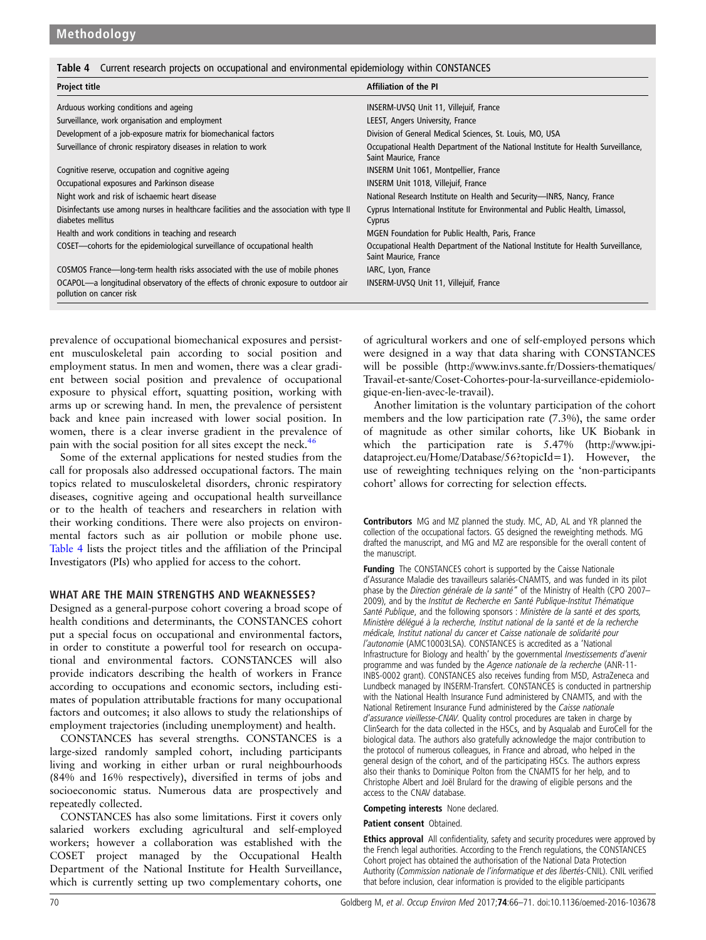### Table 4 Current research projects on occupational and environmental epidemiology within CONSTANCES

| <b>Project title</b>                                                                                            | Affiliation of the PI                                                                                      |
|-----------------------------------------------------------------------------------------------------------------|------------------------------------------------------------------------------------------------------------|
| Arduous working conditions and ageing                                                                           | INSERM-UVSQ Unit 11, Villejuif, France                                                                     |
| Surveillance, work organisation and employment                                                                  | LEEST, Angers University, France                                                                           |
| Development of a job-exposure matrix for biomechanical factors                                                  | Division of General Medical Sciences, St. Louis, MO, USA                                                   |
| Surveillance of chronic respiratory diseases in relation to work                                                | Occupational Health Department of the National Institute for Health Surveillance,<br>Saint Maurice, France |
| Cognitive reserve, occupation and cognitive ageing                                                              | INSERM Unit 1061, Montpellier, France                                                                      |
| Occupational exposures and Parkinson disease                                                                    | INSERM Unit 1018, Villejuif, France                                                                        |
| Night work and risk of ischaemic heart disease                                                                  | National Research Institute on Health and Security-INRS, Nancy, France                                     |
| Disinfectants use among nurses in healthcare facilities and the association with type II<br>diabetes mellitus   | Cyprus International Institute for Environmental and Public Health, Limassol,<br>Cyprus                    |
| Health and work conditions in teaching and research                                                             | MGEN Foundation for Public Health, Paris, France                                                           |
| COSET—cohorts for the epidemiological surveillance of occupational health                                       | Occupational Health Department of the National Institute for Health Surveillance,<br>Saint Maurice, France |
| COSMOS France—long-term health risks associated with the use of mobile phones                                   | IARC, Lyon, France                                                                                         |
| OCAPOL—a longitudinal observatory of the effects of chronic exposure to outdoor air<br>pollution on cancer risk | INSERM-UVSQ Unit 11, Villejuif, France                                                                     |

prevalence of occupational biomechanical exposures and persistent musculoskeletal pain according to social position and employment status. In men and women, there was a clear gradient between social position and prevalence of occupational exposure to physical effort, squatting position, working with arms up or screwing hand. In men, the prevalence of persistent back and knee pain increased with lower social position. In women, there is a clear inverse gradient in the prevalence of pain with the social position for all sites except the neck.<sup>[46](#page-5-0)</sup>

Some of the external applications for nested studies from the call for proposals also addressed occupational factors. The main topics related to musculoskeletal disorders, chronic respiratory diseases, cognitive ageing and occupational health surveillance or to the health of teachers and researchers in relation with their working conditions. There were also projects on environmental factors such as air pollution or mobile phone use. Table 4 lists the project titles and the affiliation of the Principal Investigators (PIs) who applied for access to the cohort.

#### WHAT ARE THE MAIN STRENGTHS AND WEAKNESSES?

Designed as a general-purpose cohort covering a broad scope of health conditions and determinants, the CONSTANCES cohort put a special focus on occupational and environmental factors, in order to constitute a powerful tool for research on occupational and environmental factors. CONSTANCES will also provide indicators describing the health of workers in France according to occupations and economic sectors, including estimates of population attributable fractions for many occupational factors and outcomes; it also allows to study the relationships of employment trajectories (including unemployment) and health.

CONSTANCES has several strengths. CONSTANCES is a large-sized randomly sampled cohort, including participants living and working in either urban or rural neighbourhoods (84% and 16% respectively), diversified in terms of jobs and socioeconomic status. Numerous data are prospectively and repeatedly collected.

CONSTANCES has also some limitations. First it covers only salaried workers excluding agricultural and self-employed workers; however a collaboration was established with the COSET project managed by the Occupational Health Department of the National Institute for Health Surveillance, which is currently setting up two complementary cohorts, one of agricultural workers and one of self-employed persons which were designed in a way that data sharing with CONSTANCES will be possible (http://www.invs.sante.fr/Dossiers-thematiques/ Travail-et-sante/Coset-Cohortes-pour-la-surveillance-epidemiologique-en-lien-avec-le-travail).

Another limitation is the voluntary participation of the cohort members and the low participation rate (7.3%), the same order of magnitude as other similar cohorts, like UK Biobank in which the participation rate is 5.47% ([http://www.jpi](http://www.jpi-dataproject.eu/Home/Database/56?topicId=1)[dataproject.eu/Home/Database/56?topicId=1](http://www.jpi-dataproject.eu/Home/Database/56?topicId=1)). However, the use of reweighting techniques relying on the 'non-participants cohort' allows for correcting for selection effects.

Contributors MG and MZ planned the study. MC, AD, AL and YR planned the collection of the occupational factors. GS designed the reweighting methods. MG drafted the manuscript, and MG and MZ are responsible for the overall content of the manuscript.

**Funding** The CONSTANCES cohort is supported by the Caisse Nationale d'Assurance Maladie des travailleurs salariés-CNAMTS, and was funded in its pilot phase by the Direction générale de la santé" of the Ministry of Health (CPO 2007– 2009), and by the Institut de Recherche en Santé Publique-Institut Thématique Santé Publique, and the following sponsors : Ministère de la santé et des sports, Ministère délégué à la recherche, Institut national de la santé et de la recherche médicale, Institut national du cancer et Caisse nationale de solidarité pour l'autonomie (AMC10003LSA). CONSTANCES is accredited as a 'National Infrastructure for Biology and health' by the governmental Investissements d'avenir programme and was funded by the Agence nationale de la recherche (ANR-11- INBS-0002 grant). CONSTANCES also receives funding from MSD, AstraZeneca and Lundbeck managed by INSERM-Transfert. CONSTANCES is conducted in partnership with the National Health Insurance Fund administered by CNAMTS, and with the National Retirement Insurance Fund administered by the Caisse nationale d'assurance vieillesse-CNAV. Quality control procedures are taken in charge by ClinSearch for the data collected in the HSCs, and by Asqualab and EuroCell for the biological data. The authors also gratefully acknowledge the major contribution to the protocol of numerous colleagues, in France and abroad, who helped in the general design of the cohort, and of the participating HSCs. The authors express also their thanks to Dominique Polton from the CNAMTS for her help, and to Christophe Albert and Joël Brulard for the drawing of eligible persons and the access to the CNAV database.

Competing interests None declared.

#### Patient consent Obtained.

Ethics approval All confidentiality, safety and security procedures were approved by the French legal authorities. According to the French regulations, the CONSTANCES Cohort project has obtained the authorisation of the National Data Protection Authority (Commission nationale de l'informatique et des libertés-CNIL). CNIL verified that before inclusion, clear information is provided to the eligible participants